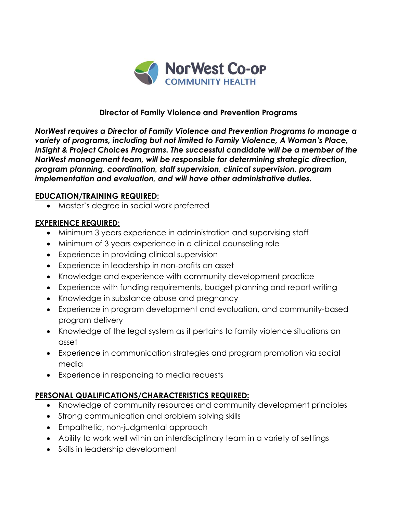

## **Director of Family Violence and Prevention Programs**

*NorWest requires a Director of Family Violence and Prevention Programs to manage a variety of programs, including but not limited to Family Violence, A Woman's Place, InSight & Project Choices Programs. The successful candidate will be a member of the NorWest management team, will be responsible for determining strategic direction, program planning, coordination, staff supervision, clinical supervision, program implementation and evaluation, and will have other administrative duties.*

## **EDUCATION/TRAINING REQUIRED:**

• Master's degree in social work preferred

## **EXPERIENCE REQUIRED:**

- Minimum 3 years experience in administration and supervising staff
- Minimum of 3 years experience in a clinical counseling role
- Experience in providing clinical supervision
- Experience in leadership in non-profits an asset
- Knowledge and experience with community development practice
- Experience with funding requirements, budget planning and report writing
- Knowledge in substance abuse and pregnancy
- Experience in program development and evaluation, and community-based program delivery
- Knowledge of the legal system as it pertains to family violence situations an asset
- Experience in communication strategies and program promotion via social media
- Experience in responding to media requests

## **PERSONAL QUALIFICATIONS/CHARACTERISTICS REQUIRED:**

- Knowledge of community resources and community development principles
- Strong communication and problem solving skills
- Empathetic, non-judgmental approach
- Ability to work well within an interdisciplinary team in a variety of settings
- Skills in leadership development